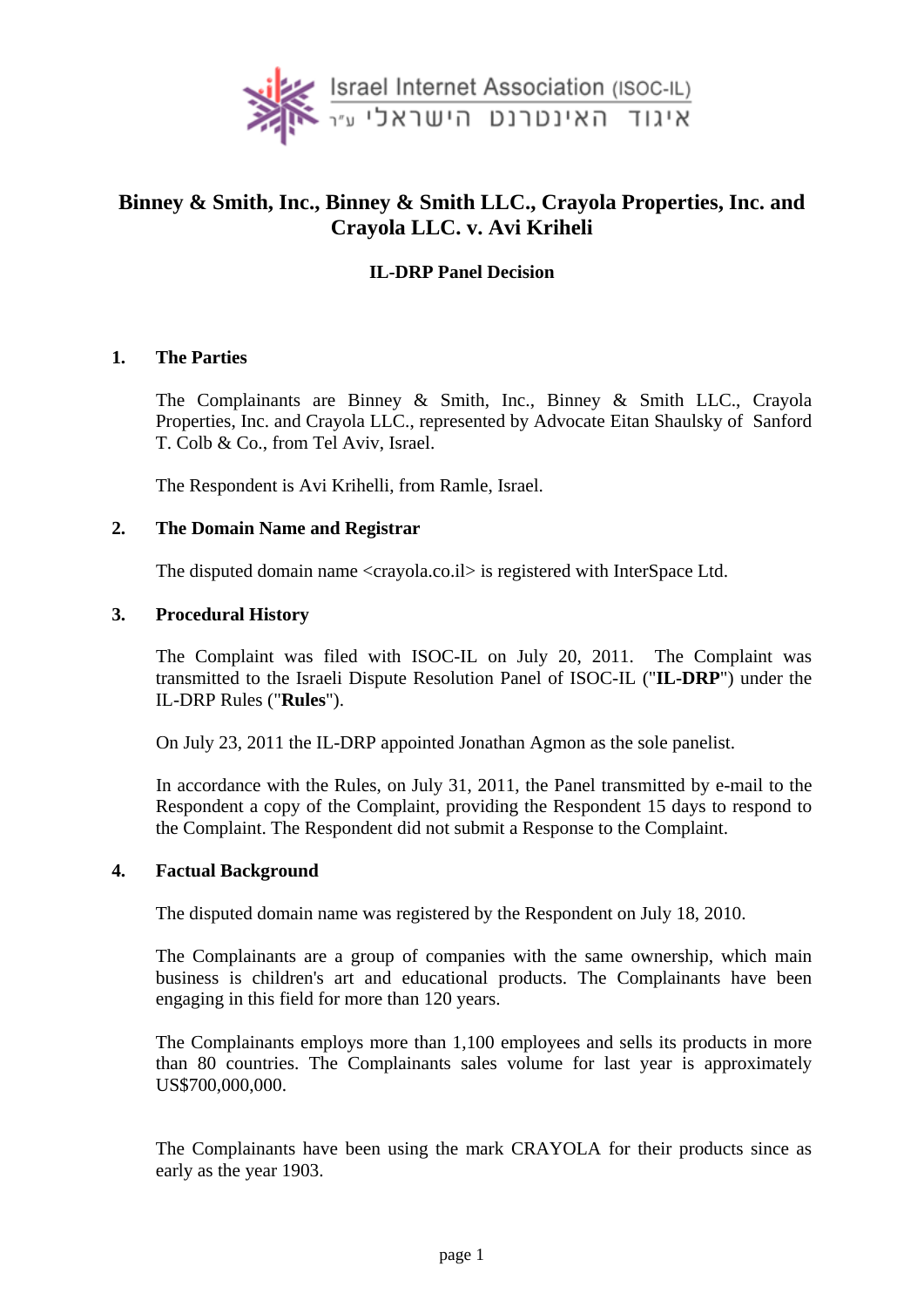

# **Binney & Smith, Inc., Binney & Smith LLC., Crayola Properties, Inc. and Crayola LLC. v. Avi Kriheli**

# **IL-DRP Panel Decision**

#### **1. The Parties**

The Complainants are Binney & Smith, Inc., Binney & Smith LLC., Crayola Properties, Inc. and Crayola LLC., represented by Advocate Eitan Shaulsky of Sanford T. Colb & Co., from Tel Aviv, Israel.

The Respondent is Avi Krihelli, from Ramle, Israel.

#### **2. The Domain Name and Registrar**

The disputed domain name <crayola.co.il> is registered with InterSpace Ltd.

#### **3. Procedural History**

The Complaint was filed with ISOC-IL on July 20, 2011. The Complaint was transmitted to the Israeli Dispute Resolution Panel of ISOC-IL ("**IL-DRP**") under the IL-DRP Rules ("**Rules**").

On July 23, 2011 the IL-DRP appointed Jonathan Agmon as the sole panelist.

In accordance with the Rules, on July 31, 2011, the Panel transmitted by e-mail to the Respondent a copy of the Complaint, providing the Respondent 15 days to respond to the Complaint. The Respondent did not submit a Response to the Complaint.

#### **4. Factual Background**

The disputed domain name was registered by the Respondent on July 18, 2010.

The Complainants are a group of companies with the same ownership, which main business is children's art and educational products. The Complainants have been engaging in this field for more than 120 years.

The Complainants employs more than 1,100 employees and sells its products in more than 80 countries. The Complainants sales volume for last year is approximately US\$700,000,000.

The Complainants have been using the mark CRAYOLA for their products since as early as the year 1903.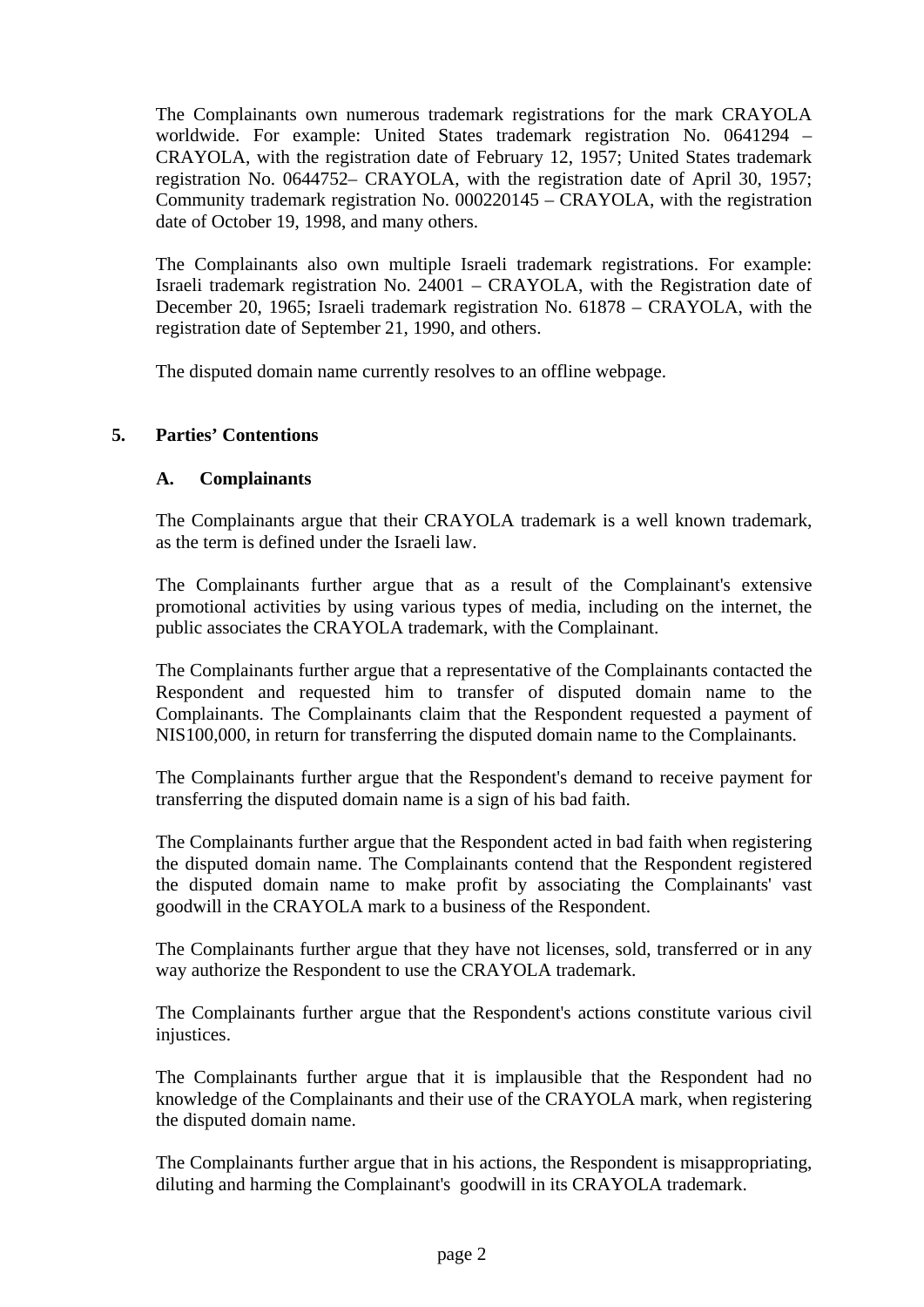The Complainants own numerous trademark registrations for the mark CRAYOLA worldwide. For example: United States trademark registration No. 0641294 – CRAYOLA, with the registration date of February 12, 1957; United States trademark registration No. 0644752– CRAYOLA, with the registration date of April 30, 1957; Community trademark registration No. 000220145 – CRAYOLA, with the registration date of October 19, 1998, and many others.

The Complainants also own multiple Israeli trademark registrations. For example: Israeli trademark registration No. 24001 – CRAYOLA, with the Registration date of December 20, 1965; Israeli trademark registration No. 61878 – CRAYOLA, with the registration date of September 21, 1990, and others.

The disputed domain name currently resolves to an offline webpage.

# **5. Parties' Contentions**

#### **A. Complainants**

The Complainants argue that their CRAYOLA trademark is a well known trademark, as the term is defined under the Israeli law.

The Complainants further argue that as a result of the Complainant's extensive promotional activities by using various types of media, including on the internet, the public associates the CRAYOLA trademark, with the Complainant.

The Complainants further argue that a representative of the Complainants contacted the Respondent and requested him to transfer of disputed domain name to the Complainants. The Complainants claim that the Respondent requested a payment of NIS100,000, in return for transferring the disputed domain name to the Complainants.

The Complainants further argue that the Respondent's demand to receive payment for transferring the disputed domain name is a sign of his bad faith.

The Complainants further argue that the Respondent acted in bad faith when registering the disputed domain name. The Complainants contend that the Respondent registered the disputed domain name to make profit by associating the Complainants' vast goodwill in the CRAYOLA mark to a business of the Respondent.

The Complainants further argue that they have not licenses, sold, transferred or in any way authorize the Respondent to use the CRAYOLA trademark.

The Complainants further argue that the Respondent's actions constitute various civil injustices.

The Complainants further argue that it is implausible that the Respondent had no knowledge of the Complainants and their use of the CRAYOLA mark, when registering the disputed domain name.

The Complainants further argue that in his actions, the Respondent is misappropriating, diluting and harming the Complainant's goodwill in its CRAYOLA trademark.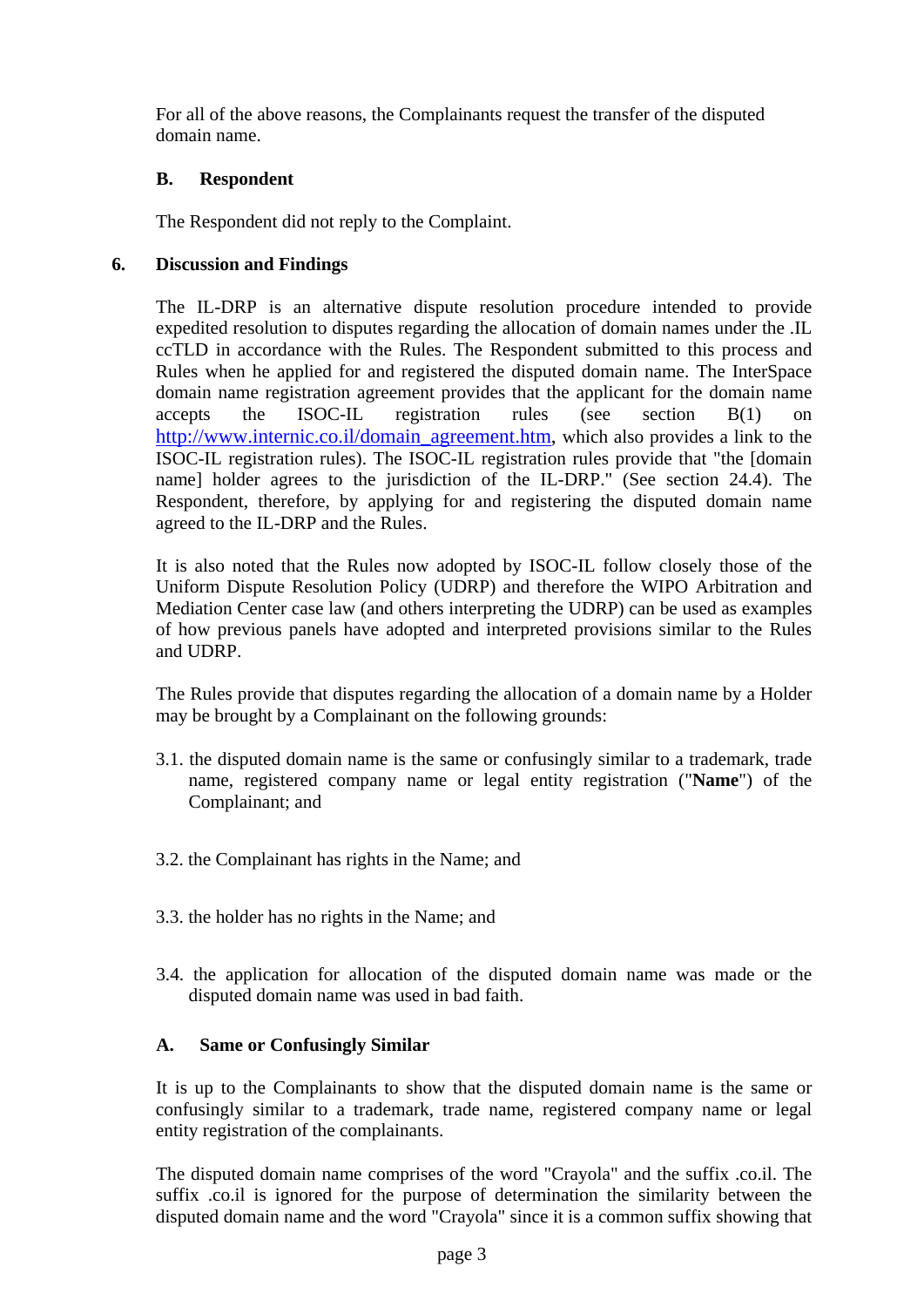For all of the above reasons, the Complainants request the transfer of the disputed domain name.

# **B. Respondent**

The Respondent did not reply to the Complaint.

# **6. Discussion and Findings**

The IL-DRP is an alternative dispute resolution procedure intended to provide expedited resolution to disputes regarding the allocation of domain names under the .IL ccTLD in accordance with the Rules. The Respondent submitted to this process and Rules when he applied for and registered the disputed domain name. The InterSpace domain name registration agreement provides that the applicant for the domain name accepts the ISOC-IL registration rules (see section B(1) on http://www.internic.co.il/domain\_agreement.htm, which also provides a link to the ISOC-IL registration rules). The ISOC-IL registration rules provide that "the [domain name] holder agrees to the jurisdiction of the IL-DRP." (See section 24.4). The Respondent, therefore, by applying for and registering the disputed domain name agreed to the IL-DRP and the Rules.

It is also noted that the Rules now adopted by ISOC-IL follow closely those of the Uniform Dispute Resolution Policy (UDRP) and therefore the WIPO Arbitration and Mediation Center case law (and others interpreting the UDRP) can be used as examples of how previous panels have adopted and interpreted provisions similar to the Rules and UDRP.

The Rules provide that disputes regarding the allocation of a domain name by a Holder may be brought by a Complainant on the following grounds:

- 3.1. the disputed domain name is the same or confusingly similar to a trademark, trade name, registered company name or legal entity registration ("**Name**") of the Complainant; and
- 3.2. the Complainant has rights in the Name; and
- 3.3. the holder has no rights in the Name; and
- 3.4. the application for allocation of the disputed domain name was made or the disputed domain name was used in bad faith.

# **A. Same or Confusingly Similar**

It is up to the Complainants to show that the disputed domain name is the same or confusingly similar to a trademark, trade name, registered company name or legal entity registration of the complainants.

The disputed domain name comprises of the word "Crayola" and the suffix .co.il. The suffix .co.il is ignored for the purpose of determination the similarity between the disputed domain name and the word "Crayola" since it is a common suffix showing that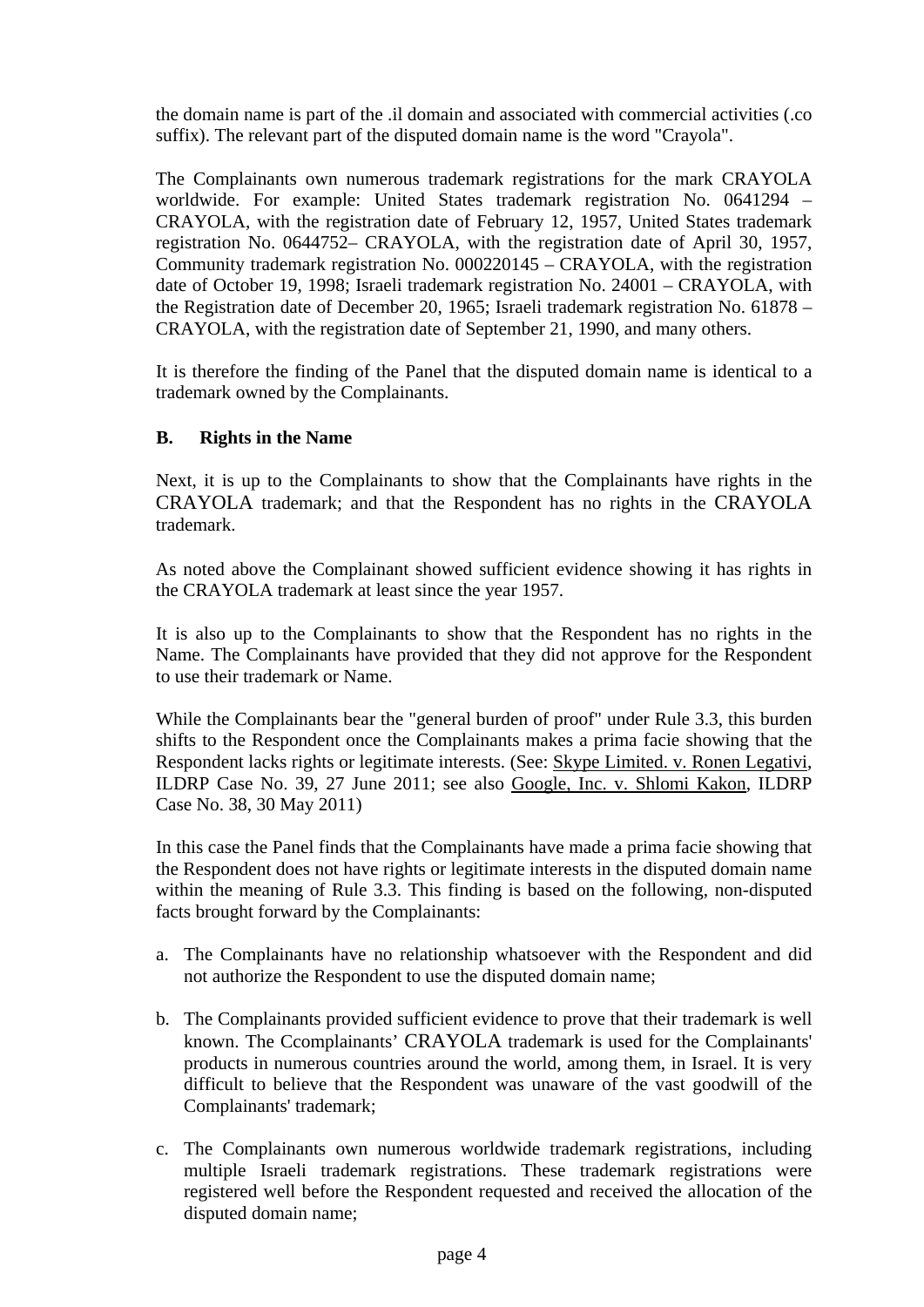the domain name is part of the .il domain and associated with commercial activities (.co suffix). The relevant part of the disputed domain name is the word "Crayola".

The Complainants own numerous trademark registrations for the mark CRAYOLA worldwide. For example: United States trademark registration No. 0641294 – CRAYOLA, with the registration date of February 12, 1957, United States trademark registration No. 0644752– CRAYOLA, with the registration date of April 30, 1957, Community trademark registration No. 000220145 – CRAYOLA, with the registration date of October 19, 1998; Israeli trademark registration No. 24001 – CRAYOLA, with the Registration date of December 20, 1965; Israeli trademark registration No. 61878 – CRAYOLA, with the registration date of September 21, 1990, and many others.

It is therefore the finding of the Panel that the disputed domain name is identical to a trademark owned by the Complainants.

# **B. Rights in the Name**

Next, it is up to the Complainants to show that the Complainants have rights in the CRAYOLA trademark; and that the Respondent has no rights in the CRAYOLA trademark.

As noted above the Complainant showed sufficient evidence showing it has rights in the CRAYOLA trademark at least since the year 1957.

It is also up to the Complainants to show that the Respondent has no rights in the Name. The Complainants have provided that they did not approve for the Respondent to use their trademark or Name.

While the Complainants bear the "general burden of proof" under Rule 3.3, this burden shifts to the Respondent once the Complainants makes a prima facie showing that the Respondent lacks rights or legitimate interests. (See: Skype Limited. v. Ronen Legativi, ILDRP Case No. 39, 27 June 2011; see also Google, Inc. v. Shlomi Kakon, ILDRP Case No. 38, 30 May 2011)

In this case the Panel finds that the Complainants have made a prima facie showing that the Respondent does not have rights or legitimate interests in the disputed domain name within the meaning of Rule 3.3. This finding is based on the following, non-disputed facts brought forward by the Complainants:

- a. The Complainants have no relationship whatsoever with the Respondent and did not authorize the Respondent to use the disputed domain name;
- b. The Complainants provided sufficient evidence to prove that their trademark is well known. The Ccomplainants' CRAYOLA trademark is used for the Complainants' products in numerous countries around the world, among them, in Israel. It is very difficult to believe that the Respondent was unaware of the vast goodwill of the Complainants' trademark;
- c. The Complainants own numerous worldwide trademark registrations, including multiple Israeli trademark registrations. These trademark registrations were registered well before the Respondent requested and received the allocation of the disputed domain name;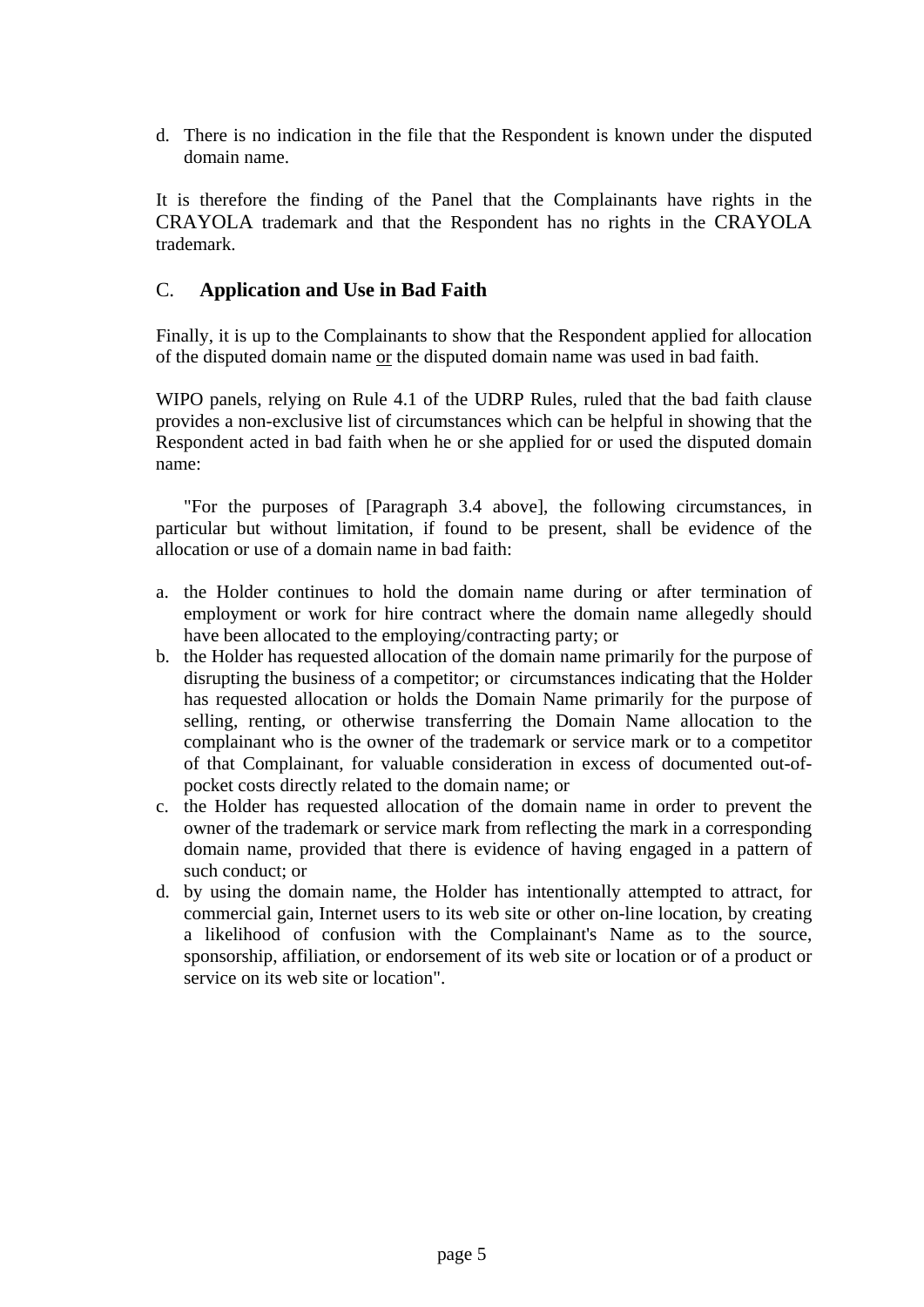d. There is no indication in the file that the Respondent is known under the disputed domain name.

It is therefore the finding of the Panel that the Complainants have rights in the CRAYOLA trademark and that the Respondent has no rights in the CRAYOLA trademark.

# C. **Application and Use in Bad Faith**

Finally, it is up to the Complainants to show that the Respondent applied for allocation of the disputed domain name or the disputed domain name was used in bad faith.

WIPO panels, relying on Rule 4.1 of the UDRP Rules, ruled that the bad faith clause provides a non-exclusive list of circumstances which can be helpful in showing that the Respondent acted in bad faith when he or she applied for or used the disputed domain name:

"For the purposes of [Paragraph 3.4 above], the following circumstances, in particular but without limitation, if found to be present, shall be evidence of the allocation or use of a domain name in bad faith:

- a. the Holder continues to hold the domain name during or after termination of employment or work for hire contract where the domain name allegedly should have been allocated to the employing/contracting party; or
- b. the Holder has requested allocation of the domain name primarily for the purpose of disrupting the business of a competitor; or circumstances indicating that the Holder has requested allocation or holds the Domain Name primarily for the purpose of selling, renting, or otherwise transferring the Domain Name allocation to the complainant who is the owner of the trademark or service mark or to a competitor of that Complainant, for valuable consideration in excess of documented out-ofpocket costs directly related to the domain name; or
- c. the Holder has requested allocation of the domain name in order to prevent the owner of the trademark or service mark from reflecting the mark in a corresponding domain name, provided that there is evidence of having engaged in a pattern of such conduct; or
- d. by using the domain name, the Holder has intentionally attempted to attract, for commercial gain, Internet users to its web site or other on-line location, by creating a likelihood of confusion with the Complainant's Name as to the source, sponsorship, affiliation, or endorsement of its web site or location or of a product or service on its web site or location".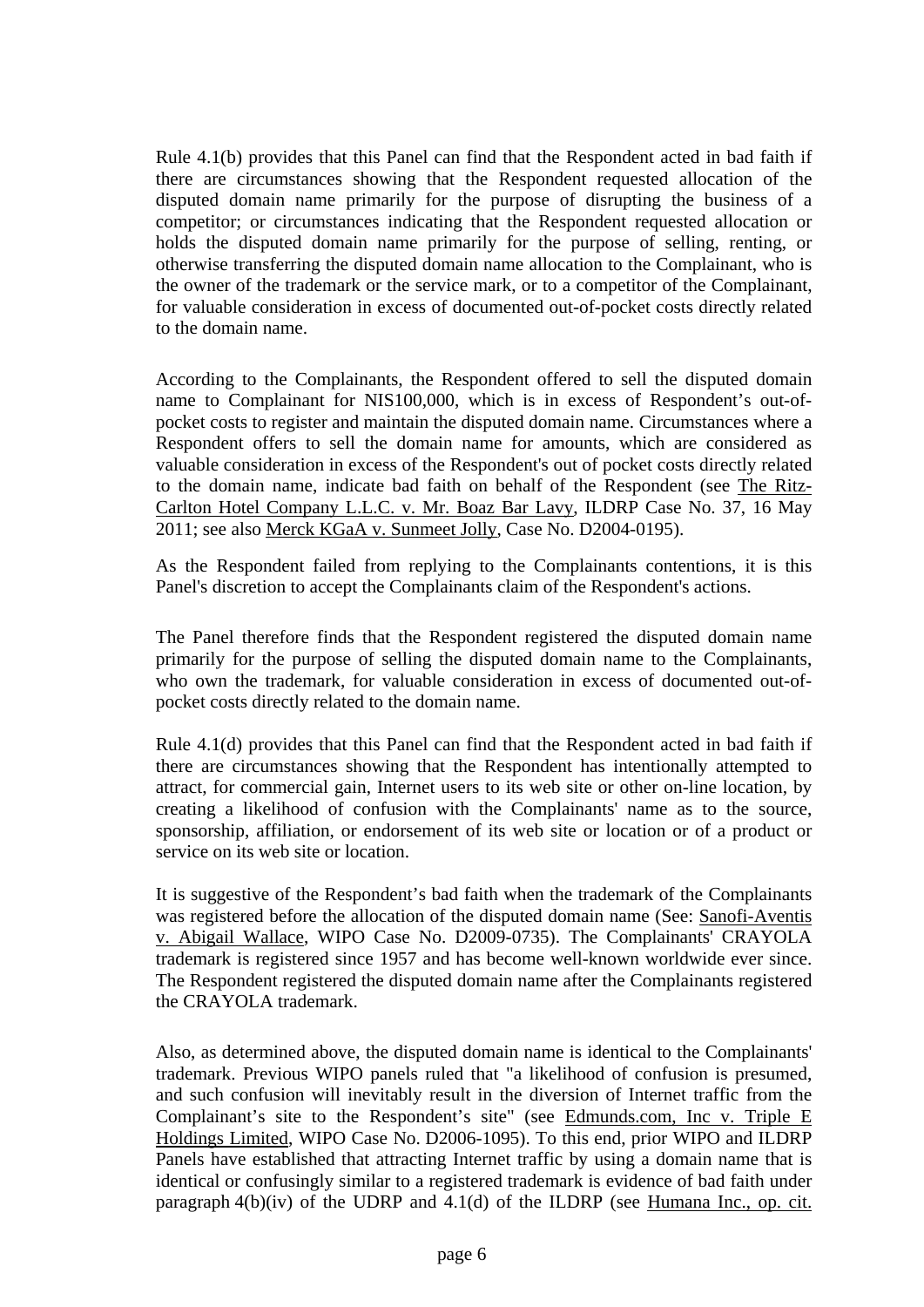Rule 4.1(b) provides that this Panel can find that the Respondent acted in bad faith if there are circumstances showing that the Respondent requested allocation of the disputed domain name primarily for the purpose of disrupting the business of a competitor; or circumstances indicating that the Respondent requested allocation or holds the disputed domain name primarily for the purpose of selling, renting, or otherwise transferring the disputed domain name allocation to the Complainant, who is the owner of the trademark or the service mark, or to a competitor of the Complainant, for valuable consideration in excess of documented out-of-pocket costs directly related to the domain name.

According to the Complainants, the Respondent offered to sell the disputed domain name to Complainant for NIS100,000, which is in excess of Respondent's out-ofpocket costs to register and maintain the disputed domain name. Circumstances where a Respondent offers to sell the domain name for amounts, which are considered as valuable consideration in excess of the Respondent's out of pocket costs directly related to the domain name, indicate bad faith on behalf of the Respondent (see The Ritz-Carlton Hotel Company L.L.C. v. Mr. Boaz Bar Lavy, ILDRP Case No. 37, 16 May 2011; see also Merck KGaA v. Sunmeet Jolly, Case No. D2004-0195).

As the Respondent failed from replying to the Complainants contentions, it is this Panel's discretion to accept the Complainants claim of the Respondent's actions.

The Panel therefore finds that the Respondent registered the disputed domain name primarily for the purpose of selling the disputed domain name to the Complainants, who own the trademark, for valuable consideration in excess of documented out-ofpocket costs directly related to the domain name.

Rule 4.1(d) provides that this Panel can find that the Respondent acted in bad faith if there are circumstances showing that the Respondent has intentionally attempted to attract, for commercial gain, Internet users to its web site or other on-line location, by creating a likelihood of confusion with the Complainants' name as to the source, sponsorship, affiliation, or endorsement of its web site or location or of a product or service on its web site or location.

It is suggestive of the Respondent's bad faith when the trademark of the Complainants was registered before the allocation of the disputed domain name (See: Sanofi-Aventis v. Abigail Wallace, WIPO Case No. D2009-0735). The Complainants' CRAYOLA trademark is registered since 1957 and has become well-known worldwide ever since. The Respondent registered the disputed domain name after the Complainants registered the CRAYOLA trademark.

Also, as determined above, the disputed domain name is identical to the Complainants' trademark. Previous WIPO panels ruled that "a likelihood of confusion is presumed, and such confusion will inevitably result in the diversion of Internet traffic from the Complainant's site to the Respondent's site" (see Edmunds.com, Inc v. Triple E Holdings Limited, WIPO Case No. D2006-1095). To this end, prior WIPO and ILDRP Panels have established that attracting Internet traffic by using a domain name that is identical or confusingly similar to a registered trademark is evidence of bad faith under paragraph  $4(b)(iv)$  of the UDRP and  $4.1(d)$  of the ILDRP (see Humana Inc., op. cit.